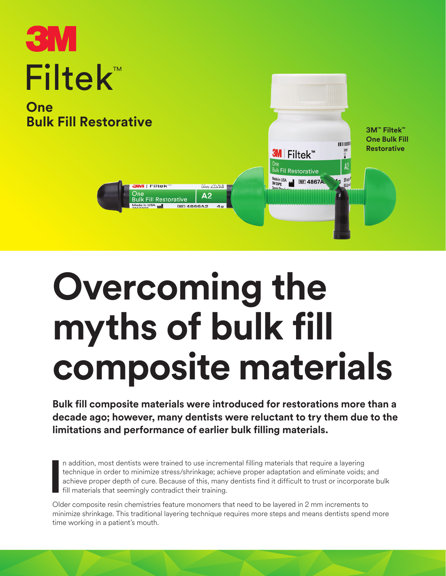# ™ Filtek **One**

**Bulk Fill Restorative**



# **Overcoming the myths of bulk fill composite materials**

**Bulk fill composite materials were introduced for restorations more than a decade ago; however, many dentists were reluctant to try them due to the limitations and performance of earlier bulk filling materials.**

**I** n addition, most dentists were trained to use incremental filling materials that require a layering technique in order to minimize stress/shrinkage; achieve proper adaptation and eliminate voids; and achieve proper depth of cure. Because of this, many dentists find it difficult to trust or incorporate bulk fill materials that seemingly contradict their training.

Older composite resin chemistries feature monomers that need to be layered in 2 mm increments to minimize shrinkage. This traditional layering technique requires more steps and means dentists spend more time working in a patient's mouth.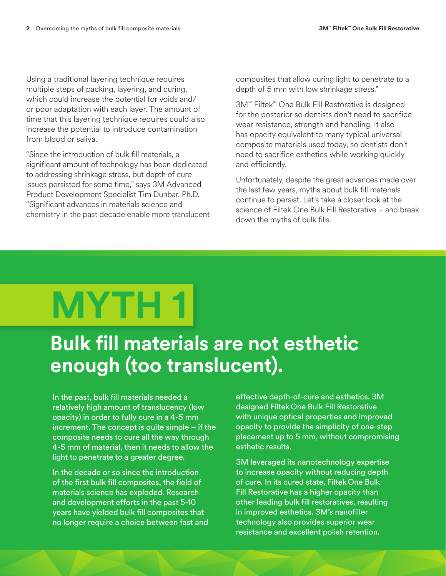Using a traditional layering technique requires multiple steps of packing, layering, and curing, which could increase the potential for voids and/ or poor adaptation with each layer. The amount of time that this layering technique requires could also increase the potential to introduce contamination from blood or saliva.

"Since the introduction of bulk fill materials, a significant amount of technology has been dedicated to addressing shrinkage stress, but depth of cure issues persisted for some time," says 3M Advanced Product Development Specialist Tim Dunbar, Ph.D. "Significant advances in materials science and chemistry in the past decade enable more translucent composites that allow curing light to penetrate to a depth of 5 mm with low shrinkage stress."

3M™ Filtek™ One Bulk Fill Restorative is designed for the posterior so dentists don't need to sacrifice wear resistance, strength and handling. It also has opacity equivalent to many typical universal composite materials used today, so dentists don't need to sacrifice esthetics while working quickly and efficiently.

Unfortunately, despite the great advances made over the last few years, myths about bulk fill materials continue to persist. Let's take a closer look at the science of Filtek One Bulk Fill Restorative – and break down the myths of bulk fills.

# **MYTH 1**

### **Bulk fill materials are not esthetic enough (too translucent).**

In the past, bulk fill materials needed a relatively high amount of translucency (low opacity) in order to fully cure in a 4-5 mm increment. The concept is quite simple – if the composite needs to cure all the way through 4-5 mm of material, then it needs to allow the light to penetrate to a greater degree.

In the decade or so since the introduction of the first bulk fill composites, the field of materials science has exploded. Research and development efforts in the past 5-10 years have yielded bulk fill composites that no longer require a choice between fast and effective depth-of-cure and esthetics. 3M designed FiltekOne Bulk Fill Restorative with unique optical properties and improved opacity to provide the simplicity of one-step placement up to 5 mm, without compromising esthetic results.

3M leveraged its nanotechnology expertise to increase opacity without reducing depth of cure. In its cured state, FiltekOne Bulk Fill Restorative has a higher opacity than other leading bulk fill restoratives, resulting in improved esthetics. 3M's nanofiller technology also provides superior wear resistance and excellent polish retention.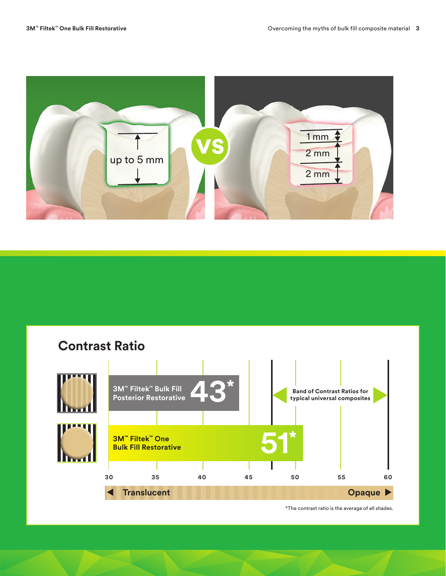

### **Contrast Ratio**



\*The contrast ratio is the average of all shades.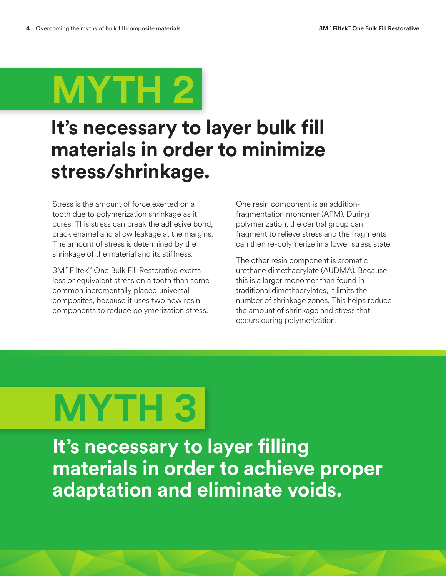

### **It's necessary to layer bulk fill materials in order to minimize stress/shrinkage.**

Stress is the amount of force exerted on a tooth due to polymerization shrinkage as it cures. This stress can break the adhesive bond, crack enamel and allow leakage at the margins. The amount of stress is determined by the shrinkage of the material and its stiffness.

3M™ Filtek™ One Bulk Fill Restorative exerts less or equivalent stress on a tooth than some common incrementally placed universal composites, because it uses two new resin components to reduce polymerization stress.

One resin component is an additionfragmentation monomer (AFM). During polymerization, the central group can fragment to relieve stress and the fragments can then re-polymerize in a lower stress state.

The other resin component is aromatic urethane dimethacrylate (AUDMA). Because this is a larger monomer than found in traditional dimethacrylates, it limits the number of shrinkage zones. This helps reduce the amount of shrinkage and stress that occurs during polymerization.

# **MYTH 3**

**It's necessary to layer filling materials in order to achieve proper adaptation and eliminate voids.**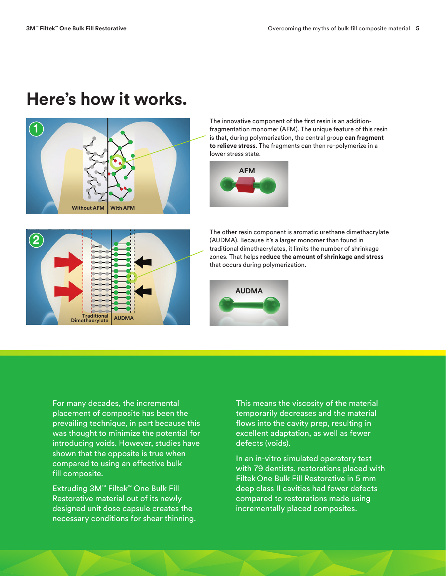### **Here's how it works.**



The innovative component of the first resin is an additionfragmentation monomer (AFM). The unique feature of this resin is that, during polymerization, the central group **can fragment to relieve stress**. The fragments can then re-polymerize in a lower stress state.





The other resin component is aromatic urethane dimethacrylate (AUDMA). Because it's a larger monomer than found in traditional dimethacrylates, it limits the number of shrinkage zones. That helps **reduce the amount of shrinkage and stress** that occurs during polymerization.



For many decades, the incremental placement of composite has been the prevailing technique, in part because this was thought to minimize the potential for introducing voids. However, studies have shown that the opposite is true when compared to using an effective bulk fill composite.

Extruding 3M™ Filtek™ One Bulk Fill Restorative material out of its newly designed unit dose capsule creates the necessary conditions for shear thinning.

This means the viscosity of the material temporarily decreases and the material flows into the cavity prep, resulting in excellent adaptation, as well as fewer defects (voids).

In an in-vitro simulated operatory test with 79 dentists, restorations placed with Filtek One Bulk Fill Restorative in 5 mm deep class II cavities had fewer defects compared to restorations made using incrementally placed composites.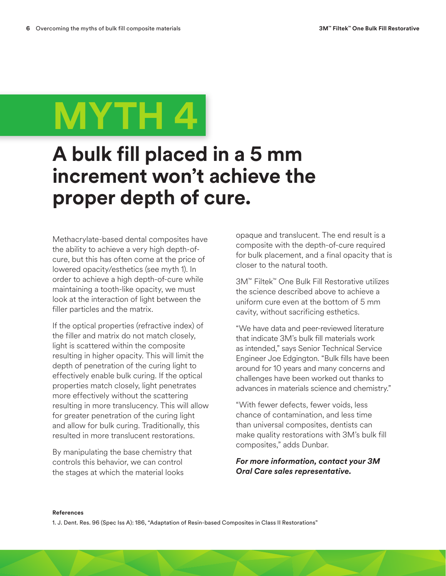## **MYTH 4**

### **A bulk fill placed in a 5 mm increment won't achieve the proper depth of cure.**

Methacrylate-based dental composites have the ability to achieve a very high depth-ofcure, but this has often come at the price of lowered opacity/esthetics (see myth 1). In order to achieve a high depth-of-cure while maintaining a tooth-like opacity, we must look at the interaction of light between the filler particles and the matrix.

If the optical properties (refractive index) of the filler and matrix do not match closely, light is scattered within the composite resulting in higher opacity. This will limit the depth of penetration of the curing light to effectively enable bulk curing. If the optical properties match closely, light penetrates more effectively without the scattering resulting in more translucency. This will allow for greater penetration of the curing light and allow for bulk curing. Traditionally, this resulted in more translucent restorations.

By manipulating the base chemistry that controls this behavior, we can control the stages at which the material looks

opaque and translucent. The end result is a composite with the depth-of-cure required for bulk placement, and a final opacity that is closer to the natural tooth.

3M™ Filtek™ One Bulk Fill Restorative utilizes the science described above to achieve a uniform cure even at the bottom of 5 mm cavity, without sacrificing esthetics.

"We have data and peer-reviewed literature that indicate 3M's bulk fill materials work as intended," says Senior Technical Service Engineer Joe Edgington. "Bulk fills have been around for 10 years and many concerns and challenges have been worked out thanks to advances in materials science and chemistry."

"With fewer defects, fewer voids, less chance of contamination, and less time than universal composites, dentists can make quality restorations with 3M's bulk fill composites," adds Dunbar.

#### *For more information, contact your 3M Oral Care sales representative.*

#### **References**

1. J. Dent. Res. 96 (Spec Iss A): 186, "Adaptation of Resin-based Composites in Class II Restorations"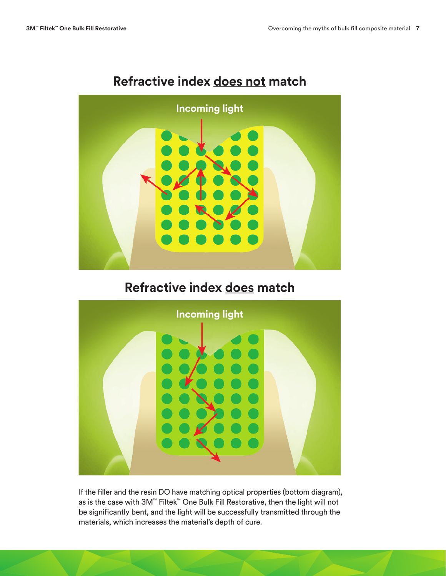

#### **Refractive index does not match**

### **Refractive index does match**



If the filler and the resin DO have matching optical properties (bottom diagram), as is the case with 3M™ Filtek™ One Bulk Fill Restorative, then the light will not be significantly bent, and the light will be successfully transmitted through the materials, which increases the material's depth of cure.